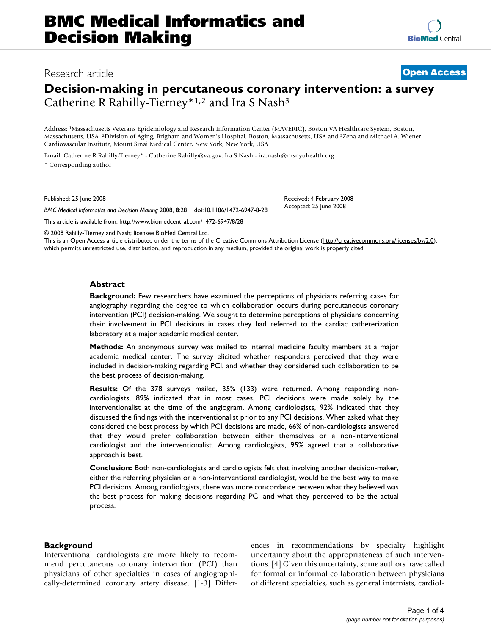# Research article **[Open Access](http://www.biomedcentral.com/info/about/charter/)**

# **Decision-making in percutaneous coronary intervention: a survey** Catherine R Rahilly-Tierney\*1,2 and Ira S Nash3

Address: 1Massachusetts Veterans Epidemiology and Research Information Center (MAVERIC), Boston VA Healthcare System, Boston, Massachusetts, USA, 2Division of Aging, Brigham and Women's Hospital, Boston, Massachusetts, USA and 3Zena and Michael A. Wiener Cardiovascular Institute, Mount Sinai Medical Center, New York, New York, USA

Email: Catherine R Rahilly-Tierney\* - Catherine.Rahilly@va.gov; Ira S Nash - ira.nash@msnyuhealth.org \* Corresponding author

Published: 25 June 2008

*BMC Medical Informatics and Decision Making* 2008, **8**:28 doi:10.1186/1472-6947-8-28

[This article is available from: http://www.biomedcentral.com/1472-6947/8/28](http://www.biomedcentral.com/1472-6947/8/28)

© 2008 Rahilly-Tierney and Nash; licensee BioMed Central Ltd.

This is an Open Access article distributed under the terms of the Creative Commons Attribution License [\(http://creativecommons.org/licenses/by/2.0\)](http://creativecommons.org/licenses/by/2.0), which permits unrestricted use, distribution, and reproduction in any medium, provided the original work is properly cited.

#### **Abstract**

**Background:** Few researchers have examined the perceptions of physicians referring cases for angiography regarding the degree to which collaboration occurs during percutaneous coronary intervention (PCI) decision-making. We sought to determine perceptions of physicians concerning their involvement in PCI decisions in cases they had referred to the cardiac catheterization laboratory at a major academic medical center.

**Methods:** An anonymous survey was mailed to internal medicine faculty members at a major academic medical center. The survey elicited whether responders perceived that they were included in decision-making regarding PCI, and whether they considered such collaboration to be the best process of decision-making.

**Results:** Of the 378 surveys mailed, 35% (133) were returned. Among responding noncardiologists, 89% indicated that in most cases, PCI decisions were made solely by the interventionalist at the time of the angiogram. Among cardiologists, 92% indicated that they discussed the findings with the interventionalist prior to any PCI decisions. When asked what they considered the best process by which PCI decisions are made, 66% of non-cardiologists answered that they would prefer collaboration between either themselves or a non-interventional cardiologist and the interventionalist. Among cardiologists, 95% agreed that a collaborative approach is best.

**Conclusion:** Both non-cardiologists and cardiologists felt that involving another decision-maker, either the referring physician or a non-interventional cardiologist, would be the best way to make PCI decisions. Among cardiologists, there was more concordance between what they believed was the best process for making decisions regarding PCI and what they perceived to be the actual process.

#### **Background**

Interventional cardiologists are more likely to recommend percutaneous coronary intervention (PCI) than physicians of other specialties in cases of angiographically-determined coronary artery disease. [1-3] Differences in recommendations by specialty highlight uncertainty about the appropriateness of such interventions. [4] Given this uncertainty, some authors have called for formal or informal collaboration between physicians of different specialties, such as general internists, cardiol-

Received: 4 February 2008 Accepted: 25 June 2008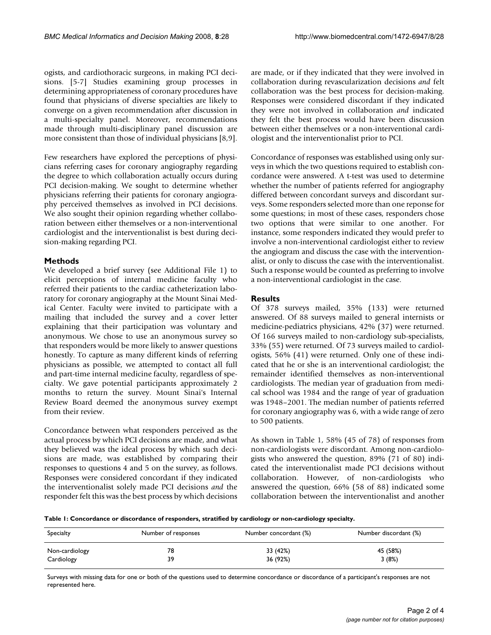ogists, and cardiothoracic surgeons, in making PCI decisions. [5-7] Studies examining group processes in determining appropriateness of coronary procedures have found that physicians of diverse specialties are likely to converge on a given recommendation after discussion in a multi-specialty panel. Moreover, recommendations made through multi-disciplinary panel discussion are more consistent than those of individual physicians [8,9].

Few researchers have explored the perceptions of physicians referring cases for coronary angiography regarding the degree to which collaboration actually occurs during PCI decision-making. We sought to determine whether physicians referring their patients for coronary angiography perceived themselves as involved in PCI decisions. We also sought their opinion regarding whether collaboration between either themselves or a non-interventional cardiologist and the interventionalist is best during decision-making regarding PCI.

#### **Methods**

We developed a brief survey (see Additional File 1) to elicit perceptions of internal medicine faculty who referred their patients to the cardiac catheterization laboratory for coronary angiography at the Mount Sinai Medical Center. Faculty were invited to participate with a mailing that included the survey and a cover letter explaining that their participation was voluntary and anonymous. We chose to use an anonymous survey so that responders would be more likely to answer questions honestly. To capture as many different kinds of referring physicians as possible, we attempted to contact all full and part-time internal medicine faculty, regardless of specialty. We gave potential participants approximately 2 months to return the survey. Mount Sinai's Internal Review Board deemed the anonymous survey exempt from their review.

Concordance between what responders perceived as the actual process by which PCI decisions are made, and what they believed was the ideal process by which such decisions are made, was established by comparing their responses to questions 4 and 5 on the survey, as follows. Responses were considered concordant if they indicated the interventionalist solely made PCI decisions *and* the responder felt this was the best process by which decisions are made, or if they indicated that they were involved in collaboration during revascularization decisions *and* felt collaboration was the best process for decision-making. Responses were considered discordant if they indicated they were not involved in collaboration *and* indicated they felt the best process would have been discussion between either themselves or a non-interventional cardiologist and the interventionalist prior to PCI.

Concordance of responses was established using only surveys in which the two questions required to establish concordance were answered. A t-test was used to determine whether the number of patients referred for angiography differed between concordant surveys and discordant surveys. Some responders selected more than one reponse for some questions; in most of these cases, responders chose two options that were similar to one another. For instance, some responders indicated they would prefer to involve a non-interventional cardiologist either to review the angiogram and discuss the case with the interventionalist, or only to discuss the case with the interventionalist. Such a response would be counted as preferring to involve a non-interventional cardiologist in the case.

# **Results**

Of 378 surveys mailed, 35% (133) were returned answered. Of 88 surveys mailed to general internists or medicine-pediatrics physicians, 42% (37) were returned. Of 166 surveys mailed to non-cardiology sub-specialists, 33% (55) were returned. Of 73 surveys mailed to cardiologists, 56% (41) were returned. Only one of these indicated that he or she is an interventional cardiologist; the remainder identified themselves as non-interventional cardiologists. The median year of graduation from medical school was 1984 and the range of year of graduation was 1948–2001. The median number of patients referred for coronary angiography was 6, with a wide range of zero to 500 patients.

As shown in Table 1, 58% (45 of 78) of responses from non-cardiologists were discordant. Among non-cardiologists who answered the question, 89% (71 of 80) indicated the interventionalist made PCI decisions without collaboration. However, of non-cardiologists who answered the question, 66% (58 of 88) indicated some collaboration between the interventionalist and another

**Table 1: Concordance or discordance of responders, stratified by cardiology or non-cardiology specialty.**

| Specialty      | Number of responses | Number concordant (%) | Number discordant (%) |
|----------------|---------------------|-----------------------|-----------------------|
| Non-cardiology | 78                  | 33 (42%)              | 45 (58%)              |
| Cardiology     | 39                  | 36 (92%)              | 3(8%)                 |

Surveys with missing data for one or both of the questions used to determine concordance or discordance of a participant's responses are not represented here.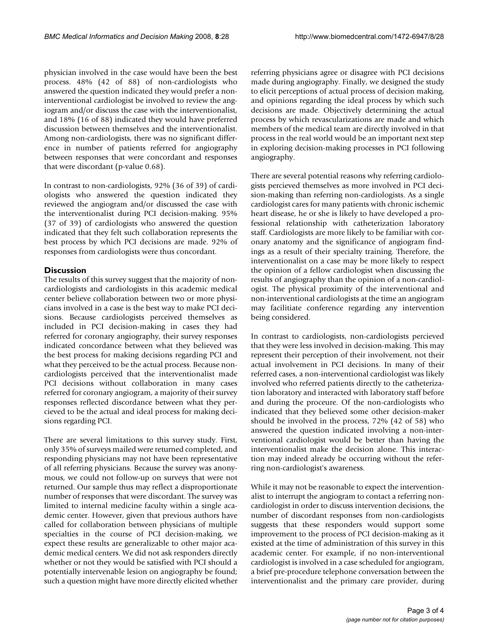physician involved in the case would have been the best process. 48% (42 of 88) of non-cardiologists who answered the question indicated they would prefer a noninterventional cardiologist be involved to review the angiogram and/or discuss the case with the interventionalist, and 18% (16 of 88) indicated they would have preferred discussion between themselves and the interventionalist. Among non-cardiologists, there was no significant difference in number of patients referred for angiography between responses that were concordant and responses that were discordant (p-value 0.68).

In contrast to non-cardiologists, 92% (36 of 39) of cardiologists who answered the question indicated they reviewed the angiogram and/or discussed the case with the interventionalist during PCI decision-making. 95% (37 of 39) of cardiologists who answered the question indicated that they felt such collaboration represents the best process by which PCI decisions are made. 92% of responses from cardiologists were thus concordant.

# **Discussion**

The results of this survey suggest that the majority of noncardiologists and cardiologists in this academic medical center believe collaboration between two or more physicians involved in a case is the best way to make PCI decisions. Because cardiologists perceived themselves as included in PCI decision-making in cases they had referred for coronary angiography, their survey responses indicated concordance between what they believed was the best process for making decisions regarding PCI and what they perceived to be the actual process. Because noncardiologists perceived that the interventionalist made PCI decisions without collaboration in many cases referred for coronary angiogram, a majority of their survey responses reflected discordance between what they percieved to be the actual and ideal process for making decisions regarding PCI.

There are several limitations to this survey study. First, only 35% of surveys mailed were returned completed, and responding physicians may not have been representative of all referring physicians. Because the survey was anonymous, we could not follow-up on surveys that were not returned. Our sample thus may reflect a disproportionate number of responses that were discordant. The survey was limited to internal medicine faculty within a single academic center. However, given that previous authors have called for collaboration between physicians of multiple specialties in the course of PCI decision-making, we expect these results are generalizable to other major academic medical centers. We did not ask responders directly whether or not they would be satisfied with PCI should a potentially intervenable lesion on angiography be found; such a question might have more directly elicited whether referring physicians agree or disagree with PCI decisions made during angiography. Finally, we designed the study to elicit perceptions of actual process of decision making, and opinions regarding the ideal process by which such decisions are made. Objectively determining the actual process by which revascularizations are made and which members of the medical team are directly involved in that process in the real world would be an important next step in exploring decision-making processes in PCI following angiography.

There are several potential reasons why referring cardiologists percieved themselves as more involved in PCI decision-making than referring non-cardiologists. As a single cardiologist cares for many patients with chronic ischemic heart disease, he or she is likely to have developed a professional relationship with catheterization laboratory staff. Cardiologists are more likely to be familiar with coronary anatomy and the significance of angiogram findings as a result of their specialty training. Therefore, the interventionalist on a case may be more likely to respect the opinion of a fellow cardiologist when discussing the results of angiography than the opinion of a non-cardiologist. The physical proximity of the interventional and non-interventional cardiologists at the time an angiogram may facilitiate conference regarding any intervention being considered.

In contrast to cardiologists, non-cardiologists percieved that they were less involved in decision-making. This may represent their perception of their involvement, not their actual involvement in PCI decisions. In many of their referred cases, a non-interventional cardiologist was likely involved who referred patients directly to the catheterization laboratory and interacted with laboratory staff before and during the proceure. Of the non-cardiologists who indicated that they believed some other decision-maker should be involved in the process, 72% (42 of 58) who answered the question indicated involving a non-interventional cardiologist would be better than having the interventionalist make the decision alone. This interaction may indeed already be occurring without the referring non-cardiologist's awareness.

While it may not be reasonable to expect the interventionalist to interrupt the angiogram to contact a referring noncardiologist in order to discuss intervention decisions, the number of discordant responses from non-cardiologists suggests that these responders would support some improvement to the process of PCI decision-making as it existed at the time of administration of this survey in this academic center. For example, if no non-interventional cardiologist is involved in a case scheduled for angiogram, a brief pre-procedure telephone conversation between the interventionalist and the primary care provider, during